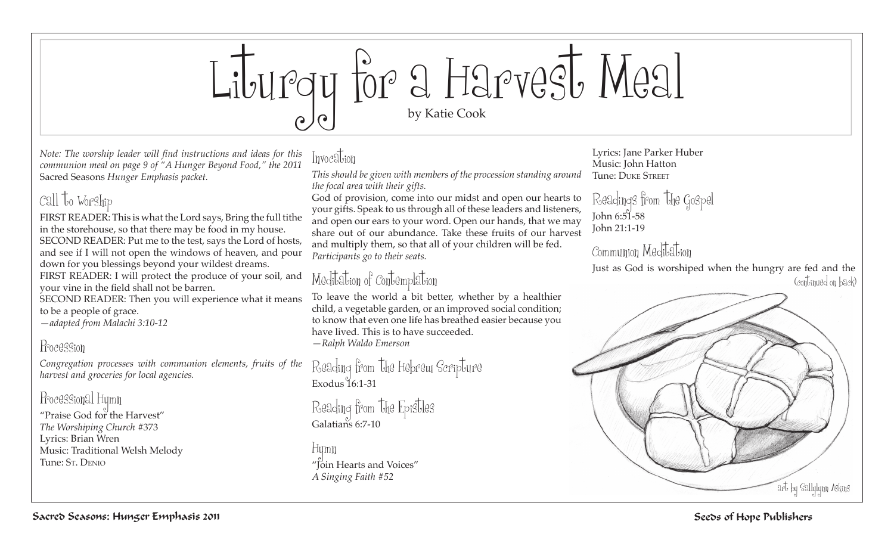

*Note: The worship leader will find instructions and ideas for this communion meal on page 9 of "A Hunger Beyond Food," the 2011*  Sacred Seasons *Hunger Emphasis packet.*

## Call to Worship

FIRST READER: This is what the Lord says, Bring the full tithe in the storehouse, so that there may be food in my house. SECOND READER: Put me to the test, says the Lord of hosts, and see if I will not open the windows of heaven, and pour down for you blessings beyond your wildest dreams. FIRST READER: I will protect the produce of your soil, and

your vine in the field shall not be barren.

SECOND READER: Then you will experience what it means to be a people of grace.

*—adapted from Malachi 3:10-12*

#### Procession

*Congregation processes with communion elements, fruits of the harvest and groceries for local agencies.*

Processional Hymn "Praise God for the Harvest" *The Worshiping Church* #373

Lyrics: Brian Wren Music: Traditional Welsh Melody Tune: St. Denio

## Invocation

*This should be given with members of the procession standing around the focal area with their gifts.*

God of provision, come into our midst and open our hearts to your gifts. Speak to us through all of these leaders and listeners, and open our ears to your word. Open our hands, that we may share out of our abundance. Take these fruits of our harvest and multiply them, so that all of your children will be fed. *Participants go to their seats.*

# Meditation of Contemplation

To leave the world a bit better, whether by a healthier child, a vegetable garden, or an improved social condition; to know that even one life has breathed easier because you have lived. This is to have succeeded. *—Ralph Waldo Emerson*

Reading from the Hebrew Scripture Exodus 16:1-31

Reading from the Epistles Galatians 6:7-10

Hymn "Join Hearts and Voices" *A Singing Faith #52*

Lyrics: Jane Parker Huber Music: John Hatton Tune: Duke Street

Readings from the Gospel  $John 6:51-58$ John 21:1-19

## Communion Meditation

Just as God is worshiped when the hungry are fed and the (continued on back)